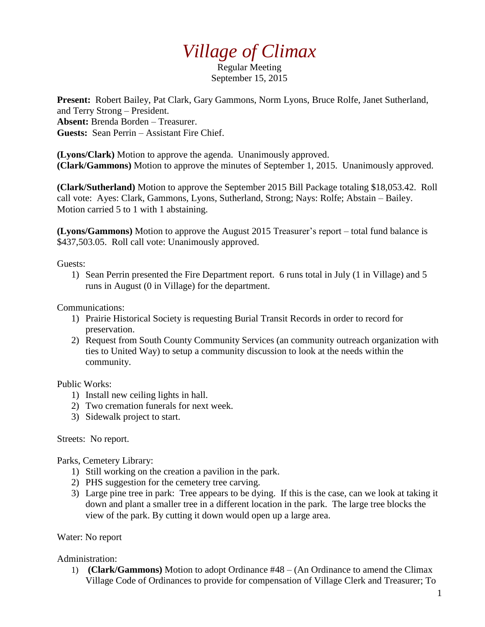## *Village of Climax*

Regular Meeting September 15, 2015

**Present:** Robert Bailey, Pat Clark, Gary Gammons, Norm Lyons, Bruce Rolfe, Janet Sutherland, and Terry Strong – President. **Absent:** Brenda Borden – Treasurer. **Guests:** Sean Perrin – Assistant Fire Chief.

**(Lyons/Clark)** Motion to approve the agenda. Unanimously approved. **(Clark/Gammons)** Motion to approve the minutes of September 1, 2015. Unanimously approved.

**(Clark/Sutherland)** Motion to approve the September 2015 Bill Package totaling \$18,053.42. Roll call vote: Ayes: Clark, Gammons, Lyons, Sutherland, Strong; Nays: Rolfe; Abstain – Bailey. Motion carried 5 to 1 with 1 abstaining.

**(Lyons/Gammons)** Motion to approve the August 2015 Treasurer's report – total fund balance is \$437,503.05. Roll call vote: Unanimously approved.

Guests:

1) Sean Perrin presented the Fire Department report. 6 runs total in July (1 in Village) and 5 runs in August (0 in Village) for the department.

Communications:

- 1) Prairie Historical Society is requesting Burial Transit Records in order to record for preservation.
- 2) Request from South County Community Services (an community outreach organization with ties to United Way) to setup a community discussion to look at the needs within the community.

Public Works:

- 1) Install new ceiling lights in hall.
- 2) Two cremation funerals for next week.
- 3) Sidewalk project to start.

Streets: No report.

Parks, Cemetery Library:

- 1) Still working on the creation a pavilion in the park.
- 2) PHS suggestion for the cemetery tree carving.
- 3) Large pine tree in park: Tree appears to be dying. If this is the case, can we look at taking it down and plant a smaller tree in a different location in the park. The large tree blocks the view of the park. By cutting it down would open up a large area.

Water: No report

Administration:

1) **(Clark/Gammons)** Motion to adopt Ordinance #48 – (An Ordinance to amend the Climax Village Code of Ordinances to provide for compensation of Village Clerk and Treasurer; To